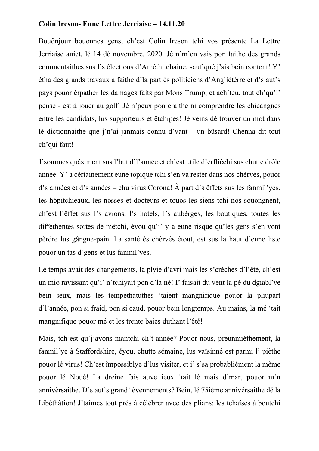## **Colin Ireson- Eune Lettre Jerriaise – 14.11.20**

Bouônjour bouonnes gens, ch'est Colin Ireson tchi vos présente La Lettre Jerriaise aniet, lé 14 dé novembre, 2020. Jé n'm'en vais pon faithe des grands commentaithes sus l's êlections d'Améthitchaine, sauf qué j'sis bein content! Y' étha des grands travaux à faithe d'la part ès politiciens d'Angliétèrre et d's aut's pays pouor èrpather les damages faits par Mons Trump, et ach'teu, tout ch'qu'i' pense - est à jouer au golf! Jé n'peux pon craithe ni comprendre les chicangnes entre les candidats, lus supporteurs et êtchipes! Jé veins dé trouver un mot dans lé dictionnaithe qué j'n'ai janmais connu d'vant – un bûsard! Chenna dit tout ch'qui faut!

J'sommes quâsiment sus l'but d'l'année et ch'est utile d'èrfliéchi sus chutte drôle année. Y' a cèrtainement eune topique tchi s'en va rester dans nos chèrvés, pouor d's années et d's années – chu virus Corona! À part d's êffets sus les fanmil'yes, les hôpitchieaux, les nosses et docteurs et touos les siens tchi nos souongnent, ch'est l'êffet sus l's avions, l's hotels, l's aubèrges, les boutiques, toutes les difféthentes sortes dé mêtchi, èyou qu'i' y a eune risque qu'les gens s'en vont pèrdre lus gângne-pain. La santé ès chèrvés étout, est sus la haut d'eune liste pouor un tas d'gens et lus fanmil'yes.

Lé temps avait des changements, la plyie d'avri mais les s'crèches d'l'êté, ch'est un mio ravissant qu'i' n'tchiyait pon d'la né! I' faisait du vent la pé du dgiabl'ye bein seux, mais les tempéthatuthes 'taient mangnifique pouor la pliupart d'l'année, pon si fraid, pon si caud, pouor bein longtemps. Au mains, la mé 'tait mangnifique pouor mé et les trente baies duthant l'êté!

Mais, tch'est qu'j'avons mantchi ch't'année? Pouor nous, preunmiéthement, la fanmil'ye à Staffordshire, éyou, chutte sémaine, lus vaîsinné est parmi l' pièthe pouor lé virus! Ch'est împossiblye d'lus visiter, et i' s'sa probabliément la même pouor lé Noué! La dreine fais auve ieux 'tait lé mais d'mar, pouor m'n annivèrsaithe. D's aut's grand' êvennements? Bein, lé 75ième annivérsaithe dé la Libéthâtion! J'taîmes tout prés à célébrer avec des plians: les tchaîses à boutchi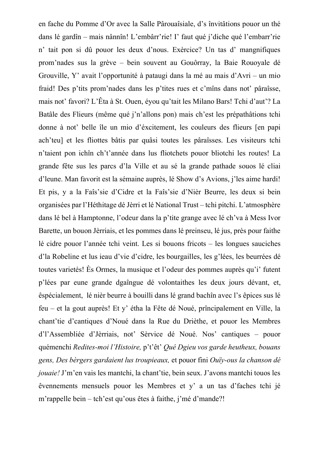en fache du Pomme d'Or avec la Salle Pârouaîsiale, d's învitâtions pouor un thé dans lé gardîn – mais nânnîn! L'embârr'rie! I' faut qué j'diche qué l'embarr'rie n' tait pon si dû pouor les deux d'nous. Exèrcice? Un tas d' mangnifiques prom'nades sus la grève – bein souvent au Gouôrray, la Baie Rouoyale dé Grouville, Y' avait l'opportunité à pataugi dans la mé au mais d'Avri – un mio fraid! Des p'tits prom'nades dans les p'tites rues et c'mîns dans not' pâraîsse, mais not' favori? L'Êta à St. Ouen, éyou qu'tait les Milano Bars! Tchi d'aut'? La Batâle des Flieurs (même qué j'n'allons pon) mais ch'est les prépathâtions tchi donne à not' belle île un mio d'éxcitement, les couleurs des flieurs [en papi ach'teu] et les fliottes bâtis par quâsi toutes les pâraîsses. Les visiteurs tchi n'taient pon ichîn ch't'année dans lus fliotchets pouor bliotchi les routes! La grande fête sus les parcs d'la Ville et au sé la grande pathade souos lé cliai d'leune. Man favorit est la sémaine auprès, lé Show d's Avions, j'les aime hardi! Et pis, y a la Faîs'sie d'Cidre et la Faîs'sie d'Nièr Beurre, les deux si bein organisées par l'Héthitage dé Jèrri et lé National Trust – tchi pitchi. L'atmosphère dans lé bel à Hamptonne, l'odeur dans la p'tite grange avec lé ch'va à Mess Ivor Barette, un bouon Jèrriais, et les pommes dans lé preinseu, lé jus, près pour faithe lé cidre pouor l'année tchi veint. Les si bouons fricots – les longues sauciches d'la Robeline et lus ieau d'vie d'cidre, les bourgailles, les g'lées, les beurrées dé toutes varietés! Ès Ormes, la musique et l'odeur des pommes auprès qu'i' futent p'lées par eune grande dgaîngue dé volontaithes les deux jours dévant, et, êspécialement, lé nièr beurre à bouilli dans lé grand bachîn avec l's êpices sus lé feu – et la gout auprès! Et y' étha la Fête dé Noué, prîncipalement en Ville, la chant'tie d'cantiques d'Noué dans la Rue du Drièthe, et pouor les Membres d'l'Assembliée d'Jèrriais, not' Sèrvice dé Noué. Nos' cantiques – pouor quémenchi *Redites-moi l'Histoire,* p't'êt' *Qué Dgieu vos garde heutheux, bouans gens, Des bèrgers gardaient lus troupieaux,* et pouor fini *Ouïy-ous la chanson dé jouaie!* J'm'en vais les mantchi, la chant'tie, bein seux. J'avons mantchi touos les êvennements mensuels pouor les Membres et y' a un tas d'faches tchi jé m'rappelle bein – tch'est qu'ous êtes à faithe, j'mé d'mande?!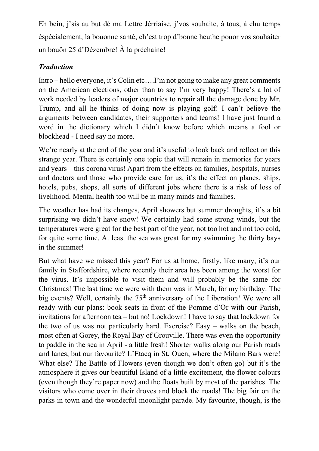Eh bein, j'sis au but dé ma Lettre Jèrriaise, j'vos souhaite, à tous, à chu temps êspécialement, la bouonne santé, ch'est trop d'bonne heuthe pouor vos souhaiter un bouôn 25 d'Dézembre! À la préchaine!

## *Traduction*

Intro – hello everyone, it's Colin etc….I'm not going to make any great comments on the American elections, other than to say I'm very happy! There's a lot of work needed by leaders of major countries to repair all the damage done by Mr. Trump, and all he thinks of doing now is playing golf! I can't believe the arguments between candidates, their supporters and teams! I have just found a word in the dictionary which I didn't know before which means a fool or blockhead - I need say no more.

We're nearly at the end of the year and it's useful to look back and reflect on this strange year. There is certainly one topic that will remain in memories for years and years – this corona virus! Apart from the effects on families, hospitals, nurses and doctors and those who provide care for us, it's the effect on planes, ships, hotels, pubs, shops, all sorts of different jobs where there is a risk of loss of livelihood. Mental health too will be in many minds and families.

The weather has had its changes, April showers but summer droughts, it's a bit surprising we didn't have snow! We certainly had some strong winds, but the temperatures were great for the best part of the year, not too hot and not too cold, for quite some time. At least the sea was great for my swimming the thirty bays in the summer!

But what have we missed this year? For us at home, firstly, like many, it's our family in Staffordshire, where recently their area has been among the worst for the virus. It's impossible to visit them and will probably be the same for Christmas! The last time we were with them was in March, for my birthday. The big events? Well, certainly the 75<sup>th</sup> anniversary of the Liberation! We were all ready with our plans: book seats in front of the Pomme d'Or with our Parish, invitations for afternoon tea – but no! Lockdown! I have to say that lockdown for the two of us was not particularly hard. Exercise? Easy – walks on the beach, most often at Gorey, the Royal Bay of Grouville. There was even the opportunity to paddle in the sea in April - a little fresh! Shorter walks along our Parish roads and lanes, but our favourite? L'Etacq in St. Ouen, where the Milano Bars were! What else? The Battle of Flowers (even though we don't often go) but it's the atmosphere it gives our beautiful Island of a little excitement, the flower colours (even though they're paper now) and the floats built by most of the parishes. The visitors who come over in their droves and block the roads! The big fair on the parks in town and the wonderful moonlight parade. My favourite, though, is the